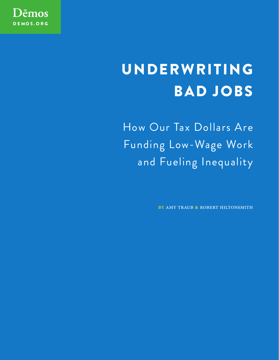

# UNDERWRITING BAD JOBS

How Our Tax Dollars Are Funding Low-Wage Work and Fueling Inequality

BY AMY TRAUB & ROBERT HILTONSMITH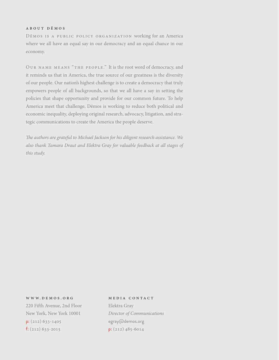#### about dēmos

Dēmos is a public policy organization working for an America where we all have an equal say in our democracy and an equal chance in our economy.

Our name means "the people." It is the root word of democracy, and it reminds us that in America, the true source of our greatness is the diversity of our people. Our nation's highest challenge is to create a democracy that truly empowers people of all backgrounds, so that we all have a say in setting the policies that shape opportunity and provide for our common future. To help America meet that challenge, Dēmos is working to reduce both political and economic inequality, deploying original research, advocacy, litigation, and strategic communications to create the America the people deserve.

The authors are grateful to Michael Jackson for his diligent research assistance. We also thank Tamara Draut and Elektra Gray for valuable feedback at all stages of this study.

# www. demos . org 220 Fifth Avenue, 2nd Floor

New York, New York 10001  $p: (212) 633 - 1405$ f:  $(212)$  633-2015

# media contact

Elektra Gray Director of Communications egray@demos.org p: (212) 485-6014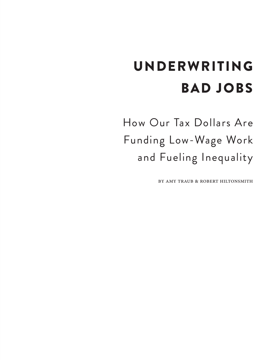# UNDERWRITING BAD JOBS

How Our Tax Dollars Are Funding Low-Wage Work and Fueling Inequality

by amy traub & robert hiltonsmith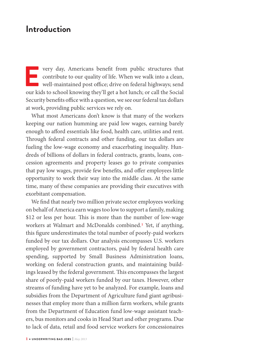# **Introduction**

**EVERTURE 1989** very day, Americans benefit from public structures that contribute to our quality of life. When we walk into a clean, well-maintained post office; drive on federal highways; send our kids to school knowing contribute to our quality of life. When we walk into a clean, well-maintained post office; drive on federal highways; send our kids to school knowing they'll get a hot lunch; or call the Social Security benefits office with a question, we see our federal tax dollars at work, providing public services we rely on.

What most Americans don't know is that many of the workers keeping our nation humming are paid low wages, earning barely enough to afford essentials like food, health care, utilities and rent. Through federal contracts and other funding, our tax dollars are fueling the low-wage economy and exacerbating inequality. Hundreds of billions of dollars in federal contracts, grants, loans, concession agreements and property leases go to private companies that pay low wages, provide few benefits, and offer employees little opportunity to work their way into the middle class. At the same time, many of these companies are providing their executives with exorbitant compensation.

We find that nearly two million private sector employees working on behalf of America earn wages too low to support a family, making \$12 or less per hour. This is more than the number of low-wage workers at Walmart and McDonalds combined.<sup>1</sup> Yet, if anything, this figure underestimates the total number of poorly-paid workers funded by our tax dollars. Our analysis encompasses U.S. workers employed by government contractors, paid by federal health care spending, supported by Small Business Administration loans, working on federal construction grants, and maintaining buildings leased by the federal government. This encompasses the largest share of poorly-paid workers funded by our taxes. However, other streams of funding have yet to be analyzed. For example, loans and subsidies from the Department of Agriculture fund giant agribusinesses that employ more than a million farm workers, while grants from the Department of Education fund low-wage assistant teachers, bus monitors and cooks in Head Start and other programs. Due to lack of data, retail and food service workers for concessionaires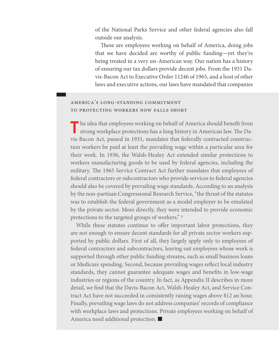of the National Parks Service and other federal agencies also fall outside our analysis.

These are employees working on behalf of America, doing jobs that we have decided are worthy of public funding—yet they're being treated in a very un-American way. Our nation has a history of ensuring our tax dollars provide decent jobs. From the 1931 Davis-Bacon Act to Executive Order 11246 of 1965, and a host of other laws and executive actions, our laws have mandated that companies

# america's long-standing commitment to protecting workers now falls short

The idea that employees working on behalf of America should benefit from strong workplace protections has a long history in American law. The Davis-Bacon Act, passed in 1931, mandates that federally contracted construction workers be paid at least the prevailing wage within a particular area for their work. In 1936, the Walsh-Healey Act extended similar protections to workers manufacturing goods to be used by federal agencies, including the military. The 1965 Service Contract Act further mandates that employees of federal contractors or subcontractors who provide services to federal agencies should also be covered by prevailing wage standards. According to an analysis by the non-partisan Congressional Research Service, "the thrust of the statutes was to establish the federal government as a model employer to be emulated by the private sector. More directly, they were intended to provide economic protections to the targeted groups of workers." 3

While these statutes continue to offer important labor protections, they are not enough to ensure decent standards for all private sector workers supported by public dollars. First of all, they largely apply only to employees of federal contractors and subcontractors, leaving out employees whose work is supported through other public funding streams, such as small business loans or Medicare spending. Second, because prevailing wages reIect local industry standards, they cannot guarantee adequate wages and benefits in low-wage industries or regions of the country. In fact, as Appendix II describes in more detail, we find that the Davis-Bacon Act, Walsh-Healey Act, and Service Contract Act have not succeeded in consistently raising wages above \$12 an hour. Finally, prevailing wage laws do not address companies' records of compliance with workplace laws and protections. Private employees working on behalf of America need additional protection.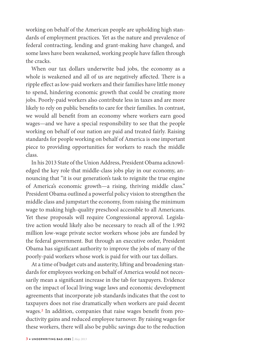working on behalf of the American people are upholding high standards of employment practices. Yet as the nature and prevalence of federal contracting, lending and grant-making have changed, and some laws have been weakened, working people have fallen through the cracks.

When our tax dollars underwrite bad jobs, the economy as a whole is weakened and all of us are negatively affected. There is a ripple effect as low-paid workers and their families have little money to spend, hindering economic growth that could be creating more jobs. Poorly-paid workers also contribute less in taxes and are more likely to rely on public benefits to care for their families. In contrast, we would all benefit from an economy where workers earn good wages—and we have a special responsibility to see that the people working on behalf of our nation are paid and treated fairly. Raising standards for people working on behalf of America is one important piece to providing opportunities for workers to reach the middle class.

In his 2013 State of the Union Address, President Obama acknowledged the key role that middle-class jobs play in our economy, announcing that "it is our generation's task to reignite the true engine of America's economic growth—a rising, thriving middle class." President Obama outlined a powerful policy vision to strengthen the middle class and jumpstart the economy, from raising the minimum wage to making high-quality preschool accessible to all Americans. Yet these proposals will require Congressional approval. Legislative action would likely also be necessary to reach all of the 1.992 million low-wage private sector workers whose jobs are funded by the federal government. But through an executive order, President Obama has significant authority to improve the jobs of many of the poorly-paid workers whose work is paid for with our tax dollars.

At a time of budget cuts and austerity, lifting and broadening standards for employees working on behalf of America would not necessarily mean a significant increase in the tab for taxpayers. Evidence on the impact of local living wage laws and economic development agreements that incorporate job standards indicates that the cost to taxpayers does not rise dramatically when workers are paid decent wages.<sup>2</sup> In addition, companies that raise wages benefit from productivity gains and reduced employee turnover. By raising wages for these workers, there will also be public savings due to the reduction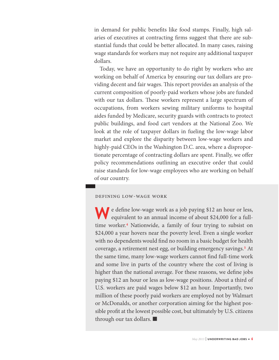in demand for public benefits like food stamps. Finally, high salaries of executives at contracting firms suggest that there are substantial funds that could be better allocated. In many cases, raising wage standards for workers may not require any additional taxpayer dollars.

Today, we have an opportunity to do right by workers who are working on behalf of America by ensuring our tax dollars are providing decent and fair wages. This report provides an analysis of the current composition of poorly-paid workers whose jobs are funded with our tax dollars. These workers represent a large spectrum of occupations, from workers sewing military uniforms to hospital aides funded by Medicare, security guards with contracts to protect public buildings, and food cart vendors at the National Zoo. We look at the role of taxpayer dollars in fueling the low-wage labor market and explore the disparity between low-wage workers and highly-paid CEOs in the Washington D.C. area, where a disproportionate percentage of contracting dollars are spent. Finally, we offer policy recommendations outlining an executive order that could raise standards for low-wage employees who are working on behalf of our country.

#### defining low-wage work

**W** e define low-wage work as a job paying \$12 an hour or less, equivalent to an annual income of about \$24,000 for a fulltime worker.4 Nationwide, a family of four trying to subsist on \$24,000 a year hovers near the poverty level. Even a single worker with no dependents would find no room in a basic budget for health coverage, a retirement nest egg, or building emergency savings.<sup>5</sup> At the same time, many low-wage workers cannot find full-time work and some live in parts of the country where the cost of living is higher than the national average. For these reasons, we define jobs paying \$12 an hour or less as low-wage positions. About a third of U.S. workers are paid wages below \$12 an hour. Importantly, two million of these poorly paid workers are employed not by Walmart or McDonalds, or another corporation aiming for the highest possible profit at the lowest possible cost, but ultimately by U.S. citizens through our tax dollars.  $\blacksquare$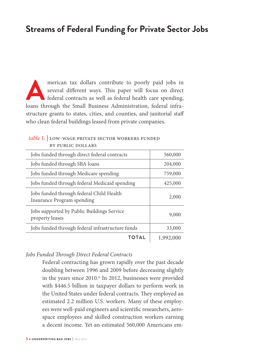# **Streams of Federal Funding for Private Sector Jobs**

merican tax dollars contribute to poorly paid jobs in several different ways. This paper will focus on direct federal contracts as well as federal health care spending, loans through the Small Business Administration, fede several different ways. This paper will focus on direct federal contracts as well as federal health care spending, loans through the Small Business Administration, federal infrastructure grants to states, cities, and counties, and janitorial staff who clean federal buildings leased from private companies.

#### table 1. LOW-WAGE PRIVATE SECTOR WORKERS FUNDED by public dollars

| Jobs funded through direct federal contracts                           | 560,000   |
|------------------------------------------------------------------------|-----------|
| Jobs funded through SBA loans                                          | 204,000   |
| Jobs funded through Medicare spending                                  | 759,000   |
| Jobs funded through federal Medicaid spending                          | 425,000   |
| Jobs funded through federal Child Health<br>Insurance Program spending | 2,000     |
| Jobs supported by Public Buildings Service<br>property leases          | 9,000     |
| Jobs funded through federal infrastructure funds                       | 33,000    |
| ΤΟΤΑΙ                                                                  | 1,992,000 |

# Jobs Funded Through Direct Federal Contracts

Federal contracting has grown rapidly over the past decade doubling between 1996 and 2009 before decreasing slightly in the years since 2010.<sup>6</sup> In 2012, businesses were provided with \$446.5 billion in taxpayer dollars to perform work in the United States under federal contracts. They employed an estimated 2.2 million U.S. workers. Many of these employees were well-paid engineers and scientific researchers, aerospace employees and skilled construction workers earning a decent income. Yet an estimated 560,000 Americans em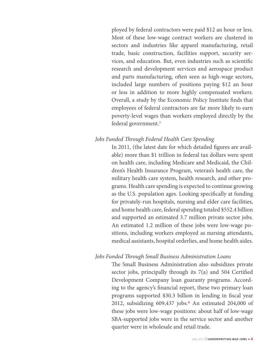ployed by federal contractors were paid \$12 an hour or less. Most of these low-wage contract workers are clustered in sectors and industries like apparel manufacturing, retail trade, basic construction, facilities support, security services, and education. But, even industries such as scientific research and development services and aerospace product and parts manufacturing, often seen as high-wage sectors, included large numbers of positions paying \$12 an hour or less in addition to more highly compensated workers. Overall, a study by the Economic Policy Institute finds that employees of federal contractors are far more likely to earn poverty-level wages than workers employed directly by the federal government.7

### Jobs Funded Through Federal Health Care Spending

In 2011, (the latest date for which detailed figures are available) more than \$1 trillion in federal tax dollars were spent on health care, including Medicare and Medicaid, the Children's Health Insurance Program, veteran's health care, the military health care system, health research, and other programs. Health care spending is expected to continue growing as the U.S. population ages. Looking specifically at funding for privately-run hospitals, nursing and elder care facilities, and home health care, federal spending totaled \$552.4 billion and supported an estimated 3.7 million private sector jobs. An estimated 1.2 million of these jobs were low-wage positions, including workers employed as nursing attendants, medical assistants, hospital orderlies, and home health aides.

### Jobs Funded Through Small Business Administration Loans

The Small Business Administration also subsidizes private sector jobs, principally through its  $7(a)$  and 504 Certified Development Company loan guaranty programs. According to the agency's financial report, these two primary loan programs supported \$30.3 billion in lending in fiscal year 2012, subsidizing 609,437 jobs.<sup>8</sup> An estimated 204,000 of these jobs were low-wage positions: about half of low-wage SBA-supported jobs were in the service sector and another quarter were in wholesale and retail trade.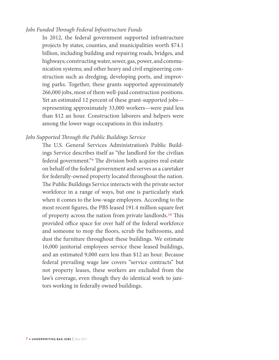## Jobs Funded Through Federal Infrastructure Funds

In 2012, the federal government supported infrastructure projects by states, counties, and municipalities worth \$74.1 billion, including building and repairing roads, bridges, and highways; constructing water, sewer, gas, power, and communication systems; and other heavy and civil engineering construction such as dredging, developing ports, and improving parks. Together, these grants supported approximately 266,000 jobs, most of them well-paid construction positions. Yet an estimated 12 percent of these grant-supported jobs representing approximately 33,000 workers—were paid less than \$12 an hour. Construction laborers and helpers were among the lower wage occupations in this industry.

#### Jobs Supported Through the Public Buildings Service

The U.S. General Services Administration's Public Buildings Service describes itself as "the landlord for the civilian federal government."<sup>9</sup> The division both acquires real estate on behalf of the federal government and serves as a caretaker for federally-owned property located throughout the nation. The Public Buildings Service interacts with the private sector workforce in a range of ways, but one is particularly stark when it comes to the low-wage employees. According to the most recent figures, the PBS leased 191.4 million square feet of property across the nation from private landlords.<sup>10</sup> This provided office space for over half of the federal workforce and someone to mop the Ioors, scrub the bathrooms, and dust the furniture throughout these buildings. We estimate 16,000 janitorial employees service these leased buildings, and an estimated 9,000 earn less than \$12 an hour. Because federal prevailing wage law covers "service contracts" but not property leases, these workers are excluded from the law's coverage, even though they do identical work to janitors working in federally owned buildings.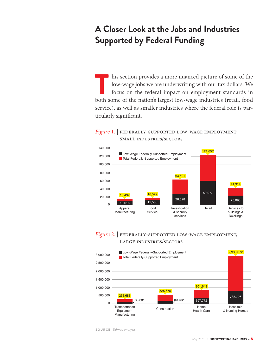# **A Closer Look at the Jobs and Industries Supported by Federal Funding**

This section provides a more nuanced picture of some of the low-wage jobs we are underwriting with our tax dollars. We focus on the federal impact on employment standards in both some of the nation's largest low-wage indus low-wage jobs we are underwriting with our tax dollars. We focus on the federal impact on employment standards in both some of the nation's largest low-wage industries (retail, food service), as well as smaller industries where the federal role is particularly significant.

## Figure 1. | FEDERALLY-SUPPORTED LOW-WAGE EMPLOYMENT, small industries/sectors



# Figure 2. | FEDERALLY-SUPPORTED LOW-WAGE EMPLOYMENT, large industries/sectors



SOURCE: Dēmos analysis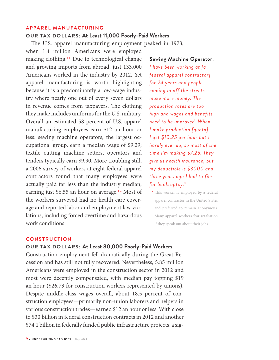#### **APPAREL MANUFACTURING**

# **OUR TAX DOLLARS: At Least 11,000 Poorly-Paid Workers**

The U.S. apparel manufacturing employment peaked in 1973,

when 1.4 million Americans were employed making clothing.11 Due to technological change and growing imports from abroad, just 133,000 Americans worked in the industry by 2012. Yet apparel manufacturing is worth highlighting because it is a predominantly a low-wage industry where nearly one out of every seven dollars in revenue comes from taxpayers. The clothing they make includes uniforms for the U.S. military. Overall an estimated 58 percent of U.S. apparel manufacturing employees earn \$12 an hour or less: sewing machine operators, the largest occupational group, earn a median wage of \$9.29; textile cutting machine setters, operators and tenders typically earn \$9.90. More troubling still, a 2006 survey of workers at eight federal apparel contractors found that many employees were actually paid far less than the industry median, earning just \$6.55 an hour on average.<sup>12</sup> Most of the workers surveyed had no health care coverage and reported labor and employment law violations, including forced overtime and hazardous work conditions.

**Sewing Machine Operator:** *I have been working at [a federal apparel contractor] for 24 years and people coming in off the streets make more money. The production rates are too high and wages and benefits need to be improved. When I make production [quota] I get \$10.25 per hour but I hardly ever do, so most of the time I'm making \$7.25. They give us health insurance, but my deductible is \$3000 and three years ago I had to file for bankruptcy.*\*

\* This worker is employed by a federal apparel contractor in the United States and preferred to remain anonymous. Many apparel workers fear retaliation if they speak out about their jobs.

#### **CONSTRUCTION**

## **OUR TAX DOLLARS: At Least 80,000 Poorly-Paid Workers**

Construction employment fell dramatically during the Great Recession and has still not fully recovered. Nevertheless, 5.85 million Americans were employed in the construction sector in 2012 and most were decently compensated, with median pay topping \$19 an hour (\$26.73 for construction workers represented by unions). Despite middle-class wages overall, about 18.5 percent of construction employees—primarily non-union laborers and helpers in various construction trades—earned \$12 an hour or less. With close to \$30 billion in federal construction contracts in 2012 and another \$74.1 billion in federally funded public infrastructure projects, a sig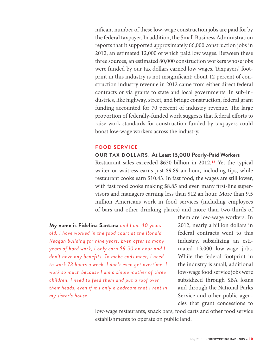nificant number of these low-wage construction jobs are paid for by the federal taxpayer. In addition, the Small Business Administration reports that it supported approximately 66,000 construction jobs in 2012, an estimated 12,000 of which paid low wages. Between these three sources, an estimated 80,000 construction workers whose jobs were funded by our tax dollars earned low wages. Taxpayers' footprint in this industry is not insignificant: about 12 percent of construction industry revenue in 2012 came from either direct federal contracts or via grants to state and local governments. In sub-industries, like highway, street, and bridge construction, federal grant funding accounted for 70 percent of industry revenue. The large proportion of federally-funded work suggests that federal efforts to raise work standards for construction funded by taxpayers could boost low-wage workers across the industry.

#### **FOOD SERVICE**

#### **OUR TAX DOLLARS: At Least 13,000 Poorly-Paid Workers**

Restaurant sales exceeded \$630 billion in 2012.13 Yet the typical waiter or waitress earns just \$9.89 an hour, including tips, while restaurant cooks earn \$10.43. In fast food, the wages are still lower, with fast food cooks making \$8.85 and even many first-line supervisors and managers earning less than \$12 an hour. More than 9.5 million Americans work in food services (including employees of bars and other drinking places) and more than two-thirds of

**My name is Fidelina Santana** *and I am 40 years old. I have worked in the food court at the Ronald Reagan building for nine years. Even after so many years of hard work, I only earn \$9.50 an hour and I don't have any benefits. To make ends meet, I need to work 73 hours a week. I don't even get overtime. I work so much because I am a single mother of three children. I need to feed them and put a roof over their heads, even if it's only a bedroom that I rent in my sister's house.*

them are low-wage workers. In 2012, nearly a billion dollars in federal contracts went to this industry, subsidizing an estimated 13,000 low-wage jobs. While the federal footprint in the industry is small, additional low-wage food service jobs were subsidized through SBA loans and through the National Parks Service and other public agencies that grant concessions to

low-wage restaurants, snack bars, food carts and other food service establishments to operate on public land.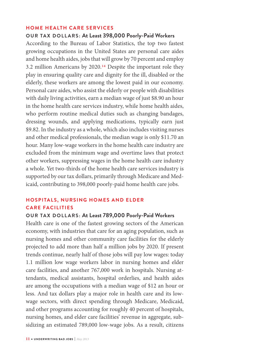#### **HOME HEALTH CARE SERVICES**

#### **OUR TAX DOLLARS: At Least 398,000 Poorly-Paid Workers**

According to the Bureau of Labor Statistics, the top two fastest growing occupations in the United States are personal care aides and home health aides, jobs that will grow by 70 percent and employ 3.2 million Americans by 2020.14 Despite the important role they play in ensuring quality care and dignity for the ill, disabled or the elderly, these workers are among the lowest paid in our economy. Personal care aides, who assist the elderly or people with disabilities with daily living activities, earn a median wage of just \$8.90 an hour in the home health care services industry, while home health aides, who perform routine medical duties such as changing bandages, dressing wounds, and applying medications, typically earn just \$9.82. In the industry as a whole, which also includes visiting nurses and other medical professionals, the median wage is only \$11.70 an hour. Many low-wage workers in the home health care industry are excluded from the minimum wage and overtime laws that protect other workers, suppressing wages in the home health care industry a whole. Yet two-thirds of the home health care services industry is supported by our tax dollars, primarily through Medicare and Medicaid, contributing to 398,000 poorly-paid home health care jobs.

# **HOSPITALS, NURSING HOMES AND ELDER CARE FACILITIES**

#### **OUR TAX DOLLARS: At Least 789,000 Poorly-Paid Workers**

Health care is one of the fastest growing sectors of the American economy, with industries that care for an aging population, such as nursing homes and other community care facilities for the elderly projected to add more than half a million jobs by 2020. If present trends continue, nearly half of those jobs will pay low wages: today 1.1 million low wage workers labor in nursing homes and elder care facilities, and another 767,000 work in hospitals. Nursing attendants, medical assistants, hospital orderlies, and health aides are among the occupations with a median wage of \$12 an hour or less. And tax dollars play a major role in health care and its lowwage sectors, with direct spending through Medicare, Medicaid, and other programs accounting for roughly 40 percent of hospitals, nursing homes, and elder care facilities' revenue in aggregate, subsidizing an estimated 789,000 low-wage jobs. As a result, citizens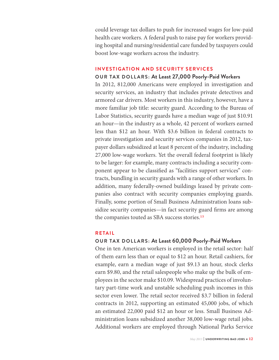could leverage tax dollars to push for increased wages for low-paid health care workers. A federal push to raise pay for workers providing hospital and nursing/residential care funded by taxpayers could boost low-wage workers across the industry.

# **INVESTIGATION AND SECURITY SERVICES**

## **OUR TAX DOLLARS: At Least 27,000 Poorly-Paid Workers**

In 2012, 812,000 Americans were employed in investigation and security services, an industry that includes private detectives and armored car drivers. Most workers in this industry, however, have a more familiar job title: security guard. According to the Bureau of Labor Statistics, security guards have a median wage of just \$10.91 an hour—in the industry as a whole, 42 percent of workers earned less than \$12 an hour. With \$3.6 billion in federal contracts to private investigation and security services companies in 2012, taxpayer dollars subsidized at least 8 percent of the industry, including 27,000 low-wage workers. Yet the overall federal footprint is likely to be larger: for example, many contracts including a security component appear to be classified as "facilities support services" contracts, bundling in security guards with a range of other workers. In addition, many federally-owned buildings leased by private companies also contract with security companies employing guards. Finally, some portion of Small Business Administration loans subsidize security companies—in fact security guard firms are among the companies touted as SBA success stories.15

# **RETAIL**

# **OUR TAX DOLLARS: At Least 60,000 Poorly-Paid Workers**

One in ten American workers is employed in the retail sector: half of them earn less than or equal to \$12 an hour. Retail cashiers, for example, earn a median wage of just \$9.13 an hour, stock clerks earn \$9.80, and the retail salespeople who make up the bulk of employees in the sector make \$10.09. Widespread practices of involuntary part-time work and unstable scheduling push incomes in this sector even lower. The retail sector received \$3.7 billion in federal contracts in 2012, supporting an estimated 45,000 jobs, of which an estimated 22,000 paid \$12 an hour or less. Small Business Administration loans subsidized another 38,000 low-wage retail jobs. Additional workers are employed through National Parks Service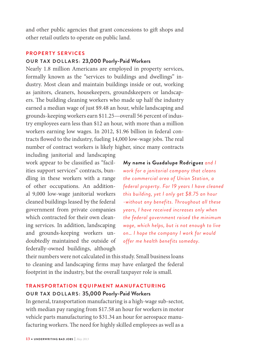and other public agencies that grant concessions to gift shops and other retail outlets to operate on public land.

#### **PROPERTY SERVICES**

#### **OUR TAX DOLLARS: 23,000 Poorly-Paid Workers**

Nearly 1.8 million Americans are employed in property services, formally known as the "services to buildings and dwellings" industry. Most clean and maintain buildings inside or out, working as janitors, cleaners, housekeepers, groundskeepers or landscapers. The building cleaning workers who made up half the industry earned a median wage of just \$9.48 an hour, while landscaping and grounds-keeping workers earn \$11.25—overall 56 percent of industry employees earn less than \$12 an hour, with more than a million workers earning low wages. In 2012, \$1.96 billion in federal contracts flowed to the industry, fueling 14,000 low-wage jobs. The real number of contract workers is likely higher, since many contracts

including janitorial and landscaping work appear to be classified as "facilities support services" contracts, bundling in these workers with a range of other occupations. An additional 9,000 low-wage janitorial workers cleaned buildings leased by the federal government from private companies which contracted for their own cleaning services. In addition, landscaping and grounds-keeping workers undoubtedly maintained the outside of federally-owned buildings, although

**My name is Guadalupe Rodriguez** *and I work for a janitorial company that cleans the commercial area of Union Station, a federal property. For 19 years I have cleaned this building, yet I only get \$8.75 an hour -without any benefits. Throughout all these years, I have received increases only when the federal government raised the minimum wage, which helps, but is not enough to live on… I hope the company I work for would offer me health benefits someday.*

their numbers were not calculated in this study. Small business loans to cleaning and landscaping firms may have enlarged the federal footprint in the industry, but the overall taxpayer role is small.

#### **TRANSPORTATION EQUIPMENT MANUFACTURING**

#### **OUR TAX DOLLARS: 35,000 Poorly-Paid Workers**

In general, transportation manufacturing is a high-wage sub-sector, with median pay ranging from \$17.58 an hour for workers in motor vehicle parts manufacturing to \$31.34 an hour for aerospace manufacturing workers. The need for highly skilled employees as well as a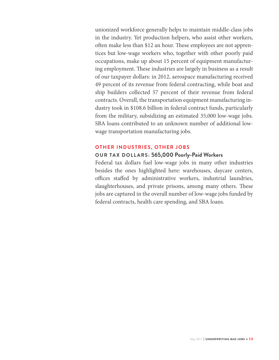unionized workforce generally helps to maintain middle-class jobs in the industry. Yet production helpers, who assist other workers, often make less than \$12 an hour. These employees are not apprentices but low-wage workers who, together with other poorly paid occupations, make up about 15 percent of equipment manufacturing employment. These industries are largely in business as a result of our taxpayer dollars: in 2012, aerospace manufacturing received 49 percent of its revenue from federal contracting, while boat and ship builders collected 57 percent of their revenue from federal contracts. Overall, the transportation equipment manufacturing industry took in \$108.6 billion in federal contract funds, particularly from the military, subsidizing an estimated 35,000 low-wage jobs. SBA loans contributed to an unknown number of additional lowwage transportation manufacturing jobs.

#### **OTHER INDUSTRIES, OTHER JOBS**

## **OUR TAX DOLLARS: 565,000 Poorly-Paid Workers**

Federal tax dollars fuel low-wage jobs in many other industries besides the ones highlighted here: warehouses, daycare centers, offices staffed by administrative workers, industrial laundries, slaughterhouses, and private prisons, among many others. These jobs are captured in the overall number of low-wage jobs funded by federal contracts, health care spending, and SBA loans.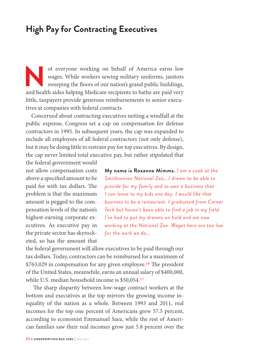# **High Pay for Contracting Executives**

ot everyone working on behalf of America earns low<br>wages. While workers sewing military uniforms, janitors<br>sweeping the floors of our nation's grand public buildings,<br>and health aides helping Medicare recipients to bathe a wages. While workers sewing military uniforms, janitors sweeping the Ioors of our nation's grand public buildings, and health aides helping Medicare recipients to bathe are paid very little, taxpayers provide generous reimbursements to senior executives at companies with federal contracts.

Concerned about contracting executives netting a windfall at the public expense, Congress set a cap on compensation for defense contractors in 1995. In subsequent years, the cap was expanded to include all employees of all federal contractors (not only defense), but it may be doing little to restrain pay for top executives. By design, the cap never limited total executive pay, but rather stipulated that

the federal government would not allow compensation costs above a specified amount to be paid for with tax dollars. The problem is that the maximum amount is pegged to the compensation levels of the nation's highest-earning corporate executives. As executive pay in the private sector has skyrocketed, so has the amount that

**My name is Roxanne Mimms.** *I am a cook at the Smithsonian National Zoo… I dream to be able to provide for my family and to own a business that I can leave to my kids one day. I would like that business to be a restaurant. I graduated from Career Tech but haven't been able to find a job in my field. I've had to put my dreams on hold and am now working at the National Zoo. Wages here are too low for the work we do…*

the federal government will allow executives to be paid through our tax dollars. Today, contractors can be reimbursed for a maximum of \$763,029 in compensation for any given employee.<sup>16</sup> The president of the United States, meanwhile, earns an annual salary of \$400,000, while U.S. median household income is \$50,054.17

The sharp disparity between low-wage contract workers at the bottom and executives at the top mirrors the growing income inequality of the nation as a whole. Between 1993 and 2011, real incomes for the top one percent of Americans grew 57.5 percent, according to economist Emmanuel Saez, while the rest of American families saw their real incomes grow just 5.8 percent over the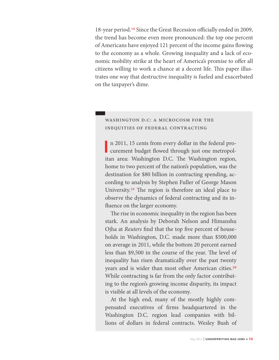18-year period.<sup>18</sup> Since the Great Recession officially ended in 2009, the trend has become even more pronounced: the top one percent of Americans have enjoyed 121 percent of the income gains Iowing to the economy as a whole. Growing inequality and a lack of economic mobility strike at the heart of America's promise to offer all citizens willing to work a chance at a decent life. This paper illustrates one way that destructive inequality is fueled and exacerbated on the taxpayer's dime.

# washington d.c: a microcosm for the inequities of federal contracting

**I** n 2011, 15 cents from every dollar in the federal pro-<br>curement budget flowed through just one metropoln 2011, 15 cents from every dollar in the federal proitan area: Washington D.C. The Washington region, home to two percent of the nation's population, was the destination for \$80 billion in contracting spending, according to analysis by Stephen Fuller of George Mason University.<sup>19</sup> The region is therefore an ideal place to observe the dynamics of federal contracting and its influence on the larger economy.

The rise in economic inequality in the region has been stark. An analysis by Deborah Nelson and Himanshu Ojha at *Reuters* find that the top five percent of households in Washington, D.C. made more than \$500,000 on average in 2011, while the bottom 20 percent earned less than \$9,500 in the course of the year. The level of inequality has risen dramatically over the past twenty years and is wider than most other American cities.20 While contracting is far from the only factor contributing to the region's growing income disparity, its impact is visible at all levels of the economy.

At the high end, many of the mostly highly compensated executives of firms headquartered in the Washington D.C. region lead companies with billions of dollars in federal contracts. Wesley Bush of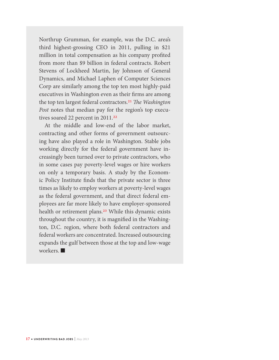Northrup Grumman, for example, was the D.C. area's third highest-grossing CEO in 2011, pulling in \$21 million in total compensation as his company profited from more than \$9 billion in federal contracts. Robert Stevens of Lockheed Martin, Jay Johnson of General Dynamics, and Michael Laphen of Computer Sciences Corp are similarly among the top ten most highly-paid executives in Washington even as their firms are among the top ten largest federal contractors.<sup>21</sup> The Washington Post notes that median pay for the region's top executives soared 22 percent in 2011.<sup>22</sup>

At the middle and low-end of the labor market, contracting and other forms of government outsourcing have also played a role in Washington. Stable jobs working directly for the federal government have increasingly been turned over to private contractors, who in some cases pay poverty-level wages or hire workers on only a temporary basis. A study by the Economic Policy Institute finds that the private sector is three times as likely to employ workers at poverty-level wages as the federal government, and that direct federal employees are far more likely to have employer-sponsored health or retirement plans.<sup>23</sup> While this dynamic exists throughout the country, it is magnified in the Washington, D.C. region, where both federal contractors and federal workers are concentrated. Increased outsourcing expands the gulf between those at the top and low-wage workers.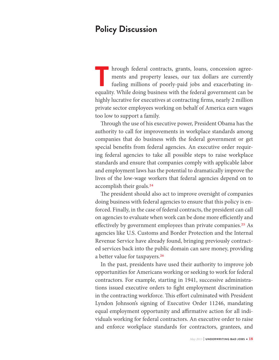# **Policy Discussion**

In hrough federal contracts, grants, loans, concession agreements and property leases, our tax dollars are currently fueling millions of poorly-paid jobs and exacerbating inequality. While doing business with the federal g ments and property leases, our tax dollars are currently fueling millions of poorly-paid jobs and exacerbating inequality. While doing business with the federal government can be highly lucrative for executives at contracting firms, nearly 2 million private sector employees working on behalf of America earn wages too low to support a family.

Through the use of his executive power, President Obama has the authority to call for improvements in workplace standards among companies that do business with the federal government or get special benefits from federal agencies. An executive order requiring federal agencies to take all possible steps to raise workplace standards and ensure that companies comply with applicable labor and employment laws has the potential to dramatically improve the lives of the low-wage workers that federal agencies depend on to accomplish their goals.24

The president should also act to improve oversight of companies doing business with federal agencies to ensure that this policy is enforced. Finally, in the case of federal contracts, the president can call on agencies to evaluate when work can be done more efficiently and effectively by government employees than private companies.<sup>25</sup> As agencies like U.S. Customs and Border Protection and the Internal Revenue Service have already found, bringing previously contracted services back into the public domain can save money, providing a better value for taxpayers.26

In the past, presidents have used their authority to improve job opportunities for Americans working or seeking to work for federal contractors. For example, starting in 1941, successive administrations issued executive orders to fight employment discrimination in the contracting workforce. This effort culminated with President Lyndon Johnson's signing of Executive Order 11246, mandating equal employment opportunity and affirmative action for all individuals working for federal contractors. An executive order to raise and enforce workplace standards for contractors, grantees, and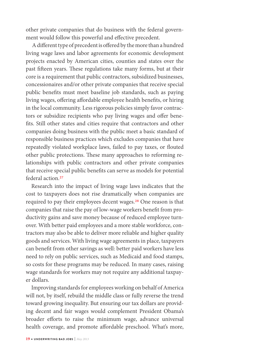other private companies that do business with the federal government would follow this powerful and effective precedent.

A different type of precedent is offered by the more than a hundred living wage laws and labor agreements for economic development projects enacted by American cities, counties and states over the past fifteen years. These regulations take many forms, but at their core is a requirement that public contractors, subsidized businesses, concessionaires and/or other private companies that receive special public benefits must meet baseline job standards, such as paying living wages, offering affordable employee health benefits, or hiring in the local community. Less rigorous policies simply favor contractors or subsidize recipients who pay living wages and offer benefits. Still other states and cities require that contractors and other companies doing business with the public meet a basic standard of responsible business practices which excludes companies that have repeatedly violated workplace laws, failed to pay taxes, or Iouted other public protections. These many approaches to reforming relationships with public contractors and other private companies that receive special public benefits can serve as models for potential federal action.27

Research into the impact of living wage laws indicates that the cost to taxpayers does not rise dramatically when companies are required to pay their employees decent wages.28 One reason is that companies that raise the pay of low-wage workers benefit from productivity gains and save money because of reduced employee turnover. With better paid employees and a more stable workforce, contractors may also be able to deliver more reliable and higher quality goods and services. With living wage agreements in place, taxpayers can benefit from other savings as well: better paid workers have less need to rely on public services, such as Medicaid and food stamps, so costs for these programs may be reduced. In many cases, raising wage standards for workers may not require any additional taxpayer dollars.

Improving standards for employees working on behalf of America will not, by itself, rebuild the middle class or fully reverse the trend toward growing inequality. But ensuring our tax dollars are providing decent and fair wages would complement President Obama's broader efforts to raise the minimum wage, advance universal health coverage, and promote affordable preschool. What's more,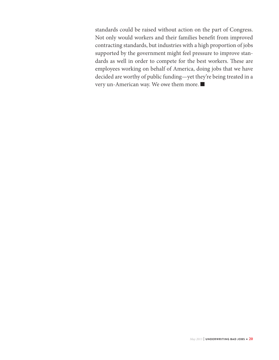standards could be raised without action on the part of Congress. Not only would workers and their families benefit from improved contracting standards, but industries with a high proportion of jobs supported by the government might feel pressure to improve standards as well in order to compete for the best workers. These are employees working on behalf of America, doing jobs that we have decided are worthy of public funding—yet they're being treated in a very un-American way. We owe them more.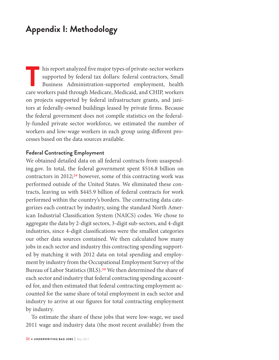# **Appendix I: Methodology**

This report analyzed five major types of private-sector workers<br>supported by federal tax dollars: federal contractors, Small<br>Business Administration-supported employment, health<br>care workers paid through Medicare. Medicaid supported by federal tax dollars: federal contractors, Small Business Administration-supported employment, health care workers paid through Medicare, Medicaid, and CHIP, workers on projects supported by federal infrastructure grants, and janitors at federally-owned buildings leased by private firms. Because the federal government does not compile statistics on the federally-funded private sector workforce, we estimated the number of workers and low-wage workers in each group using different processes based on the data sources available.

### **Federal Contracting Employment**

We obtained detailed data on all federal contracts from usaspending.gov. In total, the federal government spent \$516.8 billion on contractors in  $2012;^{29}$  however, some of this contracting work was performed outside of the United States. We eliminated these contracts, leaving us with \$445.9 billion of federal contracts for work performed within the country's borders. The contracting data categorizes each contract by industry, using the standard North American Industrial Classification System (NAICS) codes. We chose to aggregate the data by 2-digit sectors, 3-digit sub-sectors, and 4-digit industries, since 4-digit classifications were the smallest categories our other data sources contained. We then calculated how many jobs in each sector and industry this contracting spending supported by matching it with 2012 data on total spending and employment by industry from the Occupational Employment Survey of the Bureau of Labor Statistics (BLS).<sup>30</sup> We then determined the share of each sector and industry that federal contracting spending accounted for, and then estimated that federal contracting employment accounted for the same share of total employment in each sector and industry to arrive at our figures for total contracting employment by industry.

To estimate the share of these jobs that were low-wage, we used 2011 wage and industry data (the most recent available) from the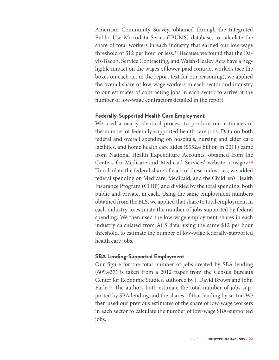American Community Survey, obtained through the Integrated Public Use Microdata Series (IPUMS) database, to calculate the share of total workers in each industry that earned our low-wage threshold of \$12 per hour or less.<sup>31</sup> Because we found that the Davis-Bacon, Service Contracting, and Walsh-Healey Acts have a negligible impact on the wages of lower-paid contract workers (see the boxes on each act in the report text for our reasoning), we applied the overall share of low-wage workers in each sector and industry to our estimates of contracting jobs in each sector to arrive at the number of low-wage contractors detailed in the report.

# **Federally-Supported Health Care Employment**

We used a nearly identical process to produce our estimates of the number of federally-supported health care jobs. Data on both federal and overall spending on hospitals, nursing and elder care facilities, and home health care aides (\$552.4 billion in 2011) came from National Health Expenditure Accounts, obtained from the Centers for Medicare and Medicaid Services' website, cms.gov.32 To calculate the federal share of each of these industries, we added federal spending on Medicare, Medicaid, and the Children's Health Insurance Program (CHIP) and divided by the total spending, both public and private, in each. Using the same employment numbers obtained from the BLS, we applied that share to total employment in each industry to estimate the number of jobs supported by federal spending. We then used the low-wage employment shares in each industry calculated from ACS data, using the same \$12 per hour threshold, to estimate the number of low-wage federally-supported health care jobs.

# **SBA Lending-Supported Employment**

Our figure for the total number of jobs created by SBA lending (609,437) is taken from a 2012 paper from the Census Bureau's Center for Economic Studies, authored by J. David Brown and John Earle.<sup>33</sup> The authors both estimate the total number of jobs supported by SBA lending and the shares of that lending by sector. We then used our previous estimates of the share of low-wage workers in each sector to calculate the number of low-wage SBA-supported jobs.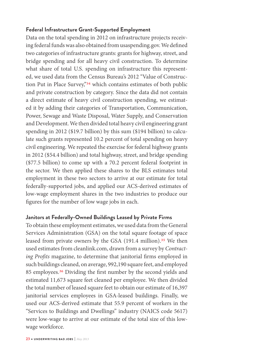# **Federal Infrastructure Grant-Supported Employment**

Data on the total spending in 2012 on infrastructure projects receiving federal funds was also obtained from usaspending.gov. We defined two categories of infrastructure grants: grants for highway, street, and bridge spending and for all heavy civil construction. To determine what share of total U.S. spending on infrastructure this represented, we used data from the Census Bureau's 2012 "Value of Construction Put in Place Survey,"34 which contains estimates of both public and private construction by category. Since the data did not contain a direct estimate of heavy civil construction spending, we estimated it by adding their categories of Transportation, Communication, Power, Sewage and Waste Disposal, Water Supply, and Conservation and Development. We then divided total heavy civil engineering grant spending in 2012 (\$19.7 billion) by this sum (\$194 billion) to calculate such grants represented 10.2 percent of total spending on heavy civil engineering. We repeated the exercise for federal highway grants in 2012 (\$54.4 billion) and total highway, street, and bridge spending (\$77.5 billion) to come up with a 70.2 percent federal footprint in the sector. We then applied these shares to the BLS estimates total employment in these two sectors to arrive at our estimate for total federally-supported jobs, and applied our ACS-derived estimates of low-wage employment shares in the two industries to produce our figures for the number of low wage jobs in each.

# **Janitors at Federally-Owned Buildings Leased by Private Firms**

To obtain these employment estimates, we used data from the General Services Administration (GSA) on the total square footage of space leased from private owners by the GSA (191.4 million).<sup>35</sup> We then used estimates from cleanlink.com, drawn from a survey by Contracting Profits magazine, to determine that janitorial firms employed in such buildings cleaned, on average, 992,190 square feet, and employed 85 employees.<sup>36</sup> Dividing the first number by the second yields and estimated 11,673 square feet cleaned per employee. We then divided the total number of leased square feet to obtain our estimate of 16,397 janitorial services employees in GSA-leased buildings. Finally, we used our ACS-derived estimate that 55.9 percent of workers in the "Services to Buildings and Dwellings" industry (NAICS code 5617) were low-wage to arrive at our estimate of the total size of this lowwage workforce.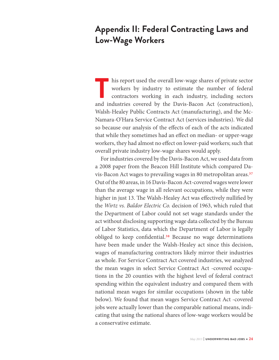# **Appendix II: Federal Contracting Laws and Low-Wage Workers**

This report used the overall low-wage shares of private sector workers by industry to estimate the number of federal contractors working in each industry, including sectors and industries covered by the Davis-Bacon Act (co workers by industry to estimate the number of federal contractors working in each industry, including sectors and industries covered by the Davis-Bacon Act (construction), Walsh-Healey Public Contracts Act (manufacturing), and the Mc-Namara-O'Hara Service Contract Act (services industries). We did so because our analysis of the effects of each of the acts indicated that while they sometimes had an effect on median- or upper-wage workers, they had almost no effect on lower-paid workers; such that overall private industry low-wage shares would apply.

For industries covered by the Davis-Bacon Act, we used data from a 2008 paper from the Beacon Hill Institute which compared Davis-Bacon Act wages to prevailing wages in 80 metropolitan areas.<sup>37</sup> Out of the 80 areas, in 16 Davis-Bacon Act-covered wages were lower than the average wage in all relevant occupations, while they were higher in just 13. The Walsh-Healey Act was effectively nullified by the Wirtz vs. Baldor Electric Co. decision of 1963, which ruled that the Department of Labor could not set wage standards under the act without disclosing supporting wage data collected by the Bureau of Labor Statistics, data which the Department of Labor is legally obliged to keep confidential.<sup>38</sup> Because no wage determinations have been made under the Walsh-Healey act since this decision, wages of manufacturing contractors likely mirror their industries as whole. For Service Contract Act covered industries, we analyzed the mean wages in select Service Contract Act -covered occupations in the 20 counties with the highest level of federal contract spending within the equivalent industry and compared them with national mean wages for similar occupations (shown in the table below). We found that mean wages Service Contract Act -covered jobs were actually lower than the comparable national means, indicating that using the national shares of low-wage workers would be a conservative estimate.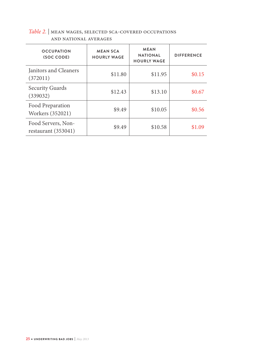#### **OCCUPATION (SOC CODE) MEAN SCA HOURLY WAGE MEAN NATIONAL HOURLY WAGE DIFFERENCE** Janitors and Cleaners (372011)  $$11.80$   $$11.95$   $$0.15$ Security Guards (339032)  $$12.43$   $$13.10$   $$0.67$ Food Preparation Workers (352021) \$9.49 \$10.05 \$0.56 Food Servers, Nonrestaurant (353041) \$9.49 \$10.58 \$1.09

# Table 2. | mean wages, selected sca-covered occupations and national averages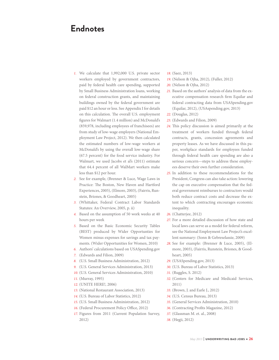# **Endnotes**

- 1. We calculate that 1,992,000 U.S. private sector workers employed by government contractors, paid by federal health care spending, supported by Small Business Administration loans, working on federal construction grants, and maintaining buildings owned by the federal government are paid \$12 an hour or less. See Appendix I for details on this calculation. The overall U.S. employment figures for Walmart (1.4 million) and McDonald's (859,978, including employees of franchisees) are from study of low-wage employers (National Employment Law Project, 2012). We then calculated the estimated numbers of low-wage workers at McDonald's by using the overall low-wage share (67.5 percent) for the food service industry. For Walmart, we used Jacobs et al's (2011) estimate that 64.4 percent of all WalMart workers make less than \$12 per hour.
- 2. See for example, (Brenner & Luce, Wage Laws in Practice: The Boston, New Haven and Hartford Experiences, 2005), (Elmore, 2003), (Fairris, Runstein, Briones, & Goodheart, 2005)
- 3. (Whittaker, Federal Contract Labor Standards Statutes: An Overview, 2005, p. ii)
- 4. Based on the assumption of 50 work weeks at 40 hours per week
- 5. Based on the Basic Economic Security Tables (BEST) produced by Wider Opportunties for Women minus expenses for savings and tax payments. (Wider Opportunities for Women, 2010)
- 6. Authors' calculations based on USASpending.gov
- 7. (Edwards and Filion, 2009)
- 8. (U.S. Small Business Administration, 2012)
- 9. (U.S. General Services Administration, 2013)
- 10. (U.S. General Services Administration, 2010)
- 11. (Murray, 1995)
- 12. (UNITE HERE!, 2006)
- 13. (National Restaurant Association, 2013)
- 14. (U.S. Bureau of Labor Statistics, 2012)
- 15. (U.S. Small Business Administration, 2012)
- 16. (Federal Procurement Policy Office, 2012)
- 17. Figures from 2011 (Current Population Survey, 2012)
- 18. (Saez, 2013)
- 19. (Nelson & Ojha, 2012), (Fuller, 2012)
- 20. (Nelson & Ojha, 2012)
- 21. Based on the authors' analysis of data from the executive compensation research firm Equilar and federal contracting data from USASpending.gov (Equilar, 2012), (USAspending.gov, 2013)
- 22. (Douglas, 2012)
- 23. (Edwards and Filion, 2009)
- 24. This policy discussion is aimed primarily at the treatment of workers funded through federal contracts, grants, concession agreements and property leases. As we have discussed in this paper, workplace standards for employees funded through federal health care spending are also a serious concern—steps to address these employees deserve their own further consideration.
- 25. In addition to these recommendations for the President, Congress can also take action: lowering the cap on executive compensation that the federal government reimburses to contractors would both reduce contract costs and decrease the extent to which contracting encourages economic inequality.
- 26. (Chatterjee, 2012)
- 27. For a more detailed discussion of how state and local laws can serve as a model for federal reform, see the National Employment Law Project's excellent summary: (Sonn & Gebreselassie, 2009)
- 28. See for example: (Brenner & Luce, 2005), (Elmore, 2003), (Fairris, Runstein, Briones, & Goodheart, 2005)
- 29. (USASpending.gov, 2013)
- 30. (U.S. Bureau of Labor Statistics, 2013)
- 31. (Ruggles, S. 2012)
- 32. (Centers for Medicare and Medicaid Services, 2011)
- 33. (Brown, J. and Earle J., 2012)
- 34. (U.S. Census Bureau, 2013)
- 35. (General Services Administration, 2010)
- 36. (Contracting Profits Magazine, 2012)
- 37. (Glassman M. et. al., 2008)
- 38. (Hegji, 2012)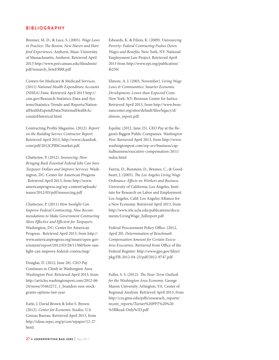#### **BIBLIOGRAPHY**

Brenner, M. D., & Luce, S. (2005). Wage Laws in Practice: The Boston, New Haven and Hartford Experiences. Amherst, Mass: University of Massachusetts, Amherst. Retrieved April 2013 http://www.peri.umass.edu/Aleadmin/ pdf/research\_brief/RR8.pdf

Centers for Medicare & Medicaid Services. (2011) National Health Expenditure Accounts (NHEA) Data. Retrieved April 2013 http:// cms.gov/Research-Statistics-Data-and-Systems/Statistics-Trends-and-Reports/NationalHealthExpendData/NationalHealthAccountsHistorical.html.

Contracting Profits Magazine. (2012). Report on the Building Service Contractor Report. Retrieved April 2013, http://www.cleanlink. com/pdf/2012CPBSCmarket.pdf.

Chatterjee, P. (2012). Insourcing: How Bringing Back Essential Federal Jobs Can Save Taxpayer Dollars and Improve Services. Washington, DC: Center for American Progress . Retrieved April 2013, from http://www. americanprogress.org/wp-content/uploads/ issues/2012/03/pdf/insourcing.pdf

Chatterjee, P. (2011) How Sunlight Can Improve Federal Contracting: Nine Recommendations to Make Government Contracting More Effective and Efficient for Taxpayers. Washington, DC: Center for American Progress . Retrieved April 2013, from http:// www.americanprogress.org/issues/open-government/report/2012/03/28/11360/how-sunlight-can-improve-federal-contracting/

Douglas, D. (2012, June 28). CEO Pay Continues to Climb in Washington Area. Washington Post. Retrieved April 2013, from http://articles.washingtonpost.com/2012-06- 24/news/35462272\_1\_brandon-rees-stockgrants-options-last-year

Earle, J. David Brown & John S. Brown. (2012). Center for Economic Studies. U.S. Census Bureau. Retrieved April 2013, from http://ideas.repec.org/p/cen/wpaper/12-27. html.

Edwards, K. & Filion, K. (2009). Outsourcing Poverty: Federal Contracting Pushes Down Wages and Benefits. New York, NY: National Employment Law Project. Retrieved April 2013 from http://www.epi.org/publication/ ib250/

Elmore, A. J. (2003, November). Living Wage Laws & Communities: Smarter Economic Development, Lower than Expected Costs. New York, NY: Brennan Center for Justice. Retrieved April 2013, from http://www.brennancenter.org/sites/default/Ales/legacy/d/ elmore\_report.pdf

Equilar. (2012, June 25). CEO Pay at the Region's Biggest Public Companies. Washington Post. Retrieved April 2013, from http://www. washingtonpost.com/wp-srv/business/capitalbusiness/executive-compensation-2011/ index.html

Fairris, D., Runstein, D., Briones, C., & Goodheart, J. (2005). The Los Angeles Living Wage Ordinance: Effects on Workers and Business. University of California, Los Angeles, Institute for Research on Labor and Employment. Los Angeles, Calif: Los Angeles Alliance for a New Economy. Retrieved April 2013, from http://www.irle.ucla.edu/publications/documents/LivingWage\_fullreport.pdf

Federal Procurement Policy Office. (2012, April 20). Determination of Benchmark Compensation Amount for Certain Executives Executives. Retrieved from Office of the Federal Register: http://www.gpo.gov/fdsys/ pkg/FR-2012-04-23/pdf/2012-9747.pdf

Fuller, S. S. (2012). The Near-Term Outlook for the Washington Area Economy. George Mason University. Arlington, VA: Center of Regional Analysis. Retrieved April 2013, from http://cra.gmu.edu/pdfs/researach\_reports/ recent\_reports/Turner%20PPT%20%20 %5BRead-Only%5D.pdf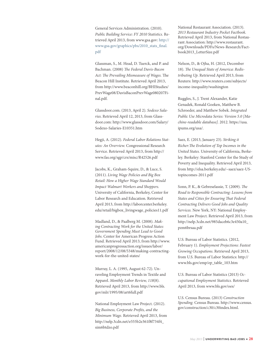General Services Administration. (2010). Public Building Service: FY 2010 Statistics. Retrieved April 2013, from www.gsa.gov: [http://](file:///Users/maxwell/Documents/Dropbox/demos/reports%20(working)/Federal%20Contracting%20Report%20(Amy:Robbie)/../customXml/item1.xml) [www.gsa.gov/graphics/pbs/2010\\_stats\\_](file:///Users/maxwell/Documents/Dropbox/demos/reports%20(working)/Federal%20Contracting%20Report%20(Amy:Robbie)/../customXml/item1.xml)final. [pdf](file:///Users/maxwell/Documents/Dropbox/demos/reports%20(working)/Federal%20Contracting%20Report%20(Amy:Robbie)/../customXml/item1.xml)

Glassman, S., M. Head, D. Tuerck, and P. and Bachman. (2008) The Federal Davis-Bacon Act: The Prevailing Mismeasure of Wages. The Beacon Hill Institute. Retrieved April 2013, from http://www.beaconhill.org/BHIStudies/ PrevWage08/DavisBaconPrevWage080207Final.pdf.

Glassdoor.com. (2013, April 2). Sodexo Salaries. Retrieved April 12, 2013, from Glassdoor.com: http://www.glassdoor.com/Salary/ Sodexo-Salaries-E10351.htm

Hegji, A. (2012). Federal Labor Relations Statutes: An Overview. Congressional Research Service. Retrieved April 2013, from http:// www.fas.org/sgp/crs/misc/R42526.pdf

Jacobs, K., Graham-Squire, D., & Luce, S. (2011). Living Wage Policies and Big Box Retail: How a Higher Wage Standard Would Impact Walmart Workers and Shoppers. University of California, Berkeley, Center for Labor Research and Education. Retrieved April 2013, from http://laborcenter.berkeley. edu/retail/bigbox\_livingwage\_policies11.pdf

Madland, D., & Paalberg M. (2008). Making Contracting Work for the United States: Government Spending Must Lead to Good Jobs. Center for American Progress Action Fund. Retrieved April 2013, from http://www. americanprogressaction.org/issues/labor/ report/2008/12/08/5348/making-contractingwork-for-the-united-states/

Murray, L. A. (1995, August 62-72). Unraveling Employment Trends in Textile and Apparel. Monthly Labor Review, 118(8). Retrieved April 2013, from http://www.bls. gov/mlr/1995/08/art6full.pdf

National Employment Law Project. (2012). Big Business, Corporate Profits, and the Minimum Wage. Retrieved April 2013, from http://nelp.3cdn.net/e555b2e361f8f734f4\_ sim6btdzo.pdf

National Restaurant Association. (2013). 2013 Restaurant Industry Pocket Factbook. Retrieved April 2013, from National Restaurant Association: http://www.restaurant. org/Downloads/PDFs/News-Research/Factbook2013\_LetterSize.pdf

Nelson, D., & Ojha, H. (2012, December 18). The Unequal State of America: Redistributing Up. Retrieved April 2013, from Reuters: http://www.reuters.com/subjects/ income-inequality/washington

Ruggles, S., J. Trent Alexander, Katie Genadek, Ronald Goeken, Matthew B. Schroeder, and Matthew Sobek. Integrated Public Use Microdata Series: Version 5.0 [Machine-readable database]. 2012. https://usa. ipums.org/usa/.

Saez, E. (2013, January 23). Striking it Richer: The Evolution of Top Incomes in the United States. University of California, Berkeley. Berkeley: Stanford Center for the Study of Poverty and Inequality. Retrieved April 2013, from http://elsa.berkeley.edu/~saez/saez-UStopincomes-2011.pdf

Sonn, P. K., & Gebreselassie, T. (2009). The Road to Responsible Contracting: Lessons from States and Cities for Ensuring That Federal Contracting Delivers Good Jobs and Quality Services. New York, NY: National Employment Law Project. Retrieved April 2013, from http://nelp.3cdn.net/985daceb6c3e450a10\_ pzm6brsaa.pdf

U.S. Bureau of Labor Statistics. (2012, February 1). Employment Projections: Fastest Growing Occupations. Retrieved April 2013, from U.S. Bureau of Labor Statistics: http:// www.bls.gov/emp/ep\_table\_103.htm

U.S. Bureau of Labor Statistics (2013) Occupational Employment Statistics. Retrieved April 2013, from www.bls.gov/oes/

U.S. Census Bureau. (2013) Construction Spending. Census Bureau. http://www.census. gov/construction/c30/c30index.html.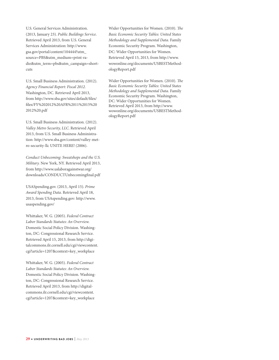U.S. General Services Administration. (2013, January 23). Public Buildings Service. Retrieved April 2013, from U.S. General Services Administration: http://www. gsa.gov/portal/content/104444?utm\_ source=PBS&utm\_medium=print-radio&utm\_term=pbs&utm\_campaign=shortcuts

U.S. Small Business Administration. (2012). Agency Financial Report: Fiscal 2012. Washington, DC. Retrieved April 2013, from http://www.sba.gov/sites/default/files/ Ales/FY%202012%20AFR%2011%2015%20 2012%20.pdf

U.S. Small Business Administration. (2012). Valley Metro Security, LLC. Retrieved April 2013, from U.S. Small Business Administration: http://www.sba.gov/content/valley-metro-security-llc UNITE HERE! (2006).

Conduct Unbecoming: Sweatshops and the U.S. Military. New York, NY. Retrieved April 2013, from http://www.uslaboragainstwar.org/ downloads/CONDUCTUnbecomingfinal.pdf

USASpending.gov. (2013, April 15). Prime Award Spending Data. Retrieved April 18, 2013, from USAspending.gov: http://www. usaspending.gov/

Whittaker, W. G. (2005). Federal Contract Labor Standards Statutes: An Overview. Domestic Social Policy Division. Washington, DC: Congressional Research Service. Retrieved April 15, 2013, from http://digitalcommons.ilr.cornell.edu/cgi/viewcontent. cgi?article=1207&context=key\_workplace

Whittaker, W. G. (2005). Federal Contract Labor Standards Statutes: An Overview. Domestic Social Policy Division. Washington, DC: Congressional Research Service. Retrieved April 2013, from http://digitalcommons.ilr.cornell.edu/cgi/viewcontent. cgi?article=1207&context=key\_workplace

Wider Opportunities for Women. (2010). The Basic Economic Security Tables: United States Methodology and Supplemental Data. Family Economic Security Program. Washington, DC: Wider Opportunities for Women. Retrieved April 15, 2013, from http://www. wowonline.org/documents/USBESTMethodologyReport.pdf

Wider Opportunities for Women. (2010). The Basic Economic Security Tables: United States Methodology and Supplemental Data. Family Economic Security Program. Washington, DC: Wider Opportunities for Women. Retrieved April 2013, from http://www. wowonline.org/documents/USBESTMethodologyReport.pdf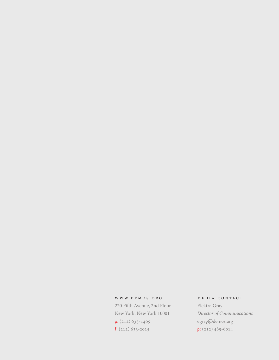#### www. demos . org

220 Fifth Avenue, 2nd Floor New York, New York 10001 p: (212) 633-1405 f: (212) 633-2015

#### media contact

Elektra Gray Director of Communications egray@demos.org p: (212) 485-6014